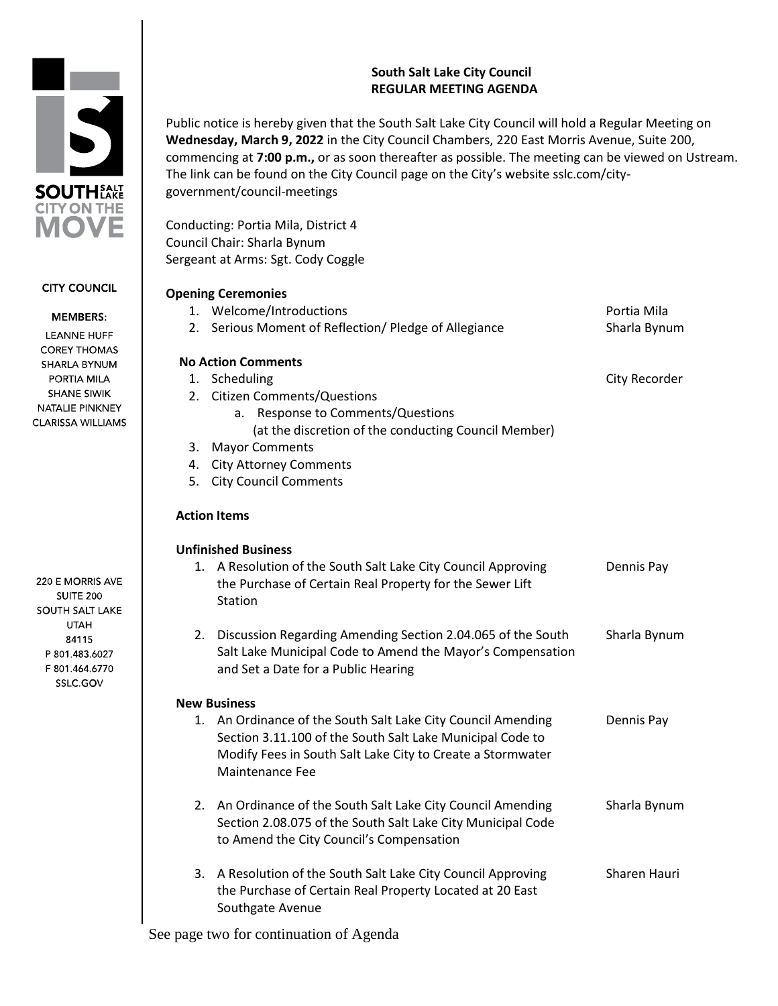# **South Salt Lake City Council REGULAR MEETING AGENDA**

Public notice is hereby given that the South Salt Lake City Council will hold a Regular Meeting on **Wednesday, March 9, 2022** in the City Council Chambers, 220 East Morris Avenue, Suite 200, commencing at **7:00 p.m.,** or as soon thereafter as possible. The meeting can be viewed on Ustream. The link can be found on the City Council page on the City's website sslc.com/citygovernment/council-meetings

Conducting: Portia Mila, District 4 Council Chair: Sharla Bynum Sergeant at Arms: Sgt. Cody Coggle

|    | <b>Opening Ceremonies</b>                                      |               |
|----|----------------------------------------------------------------|---------------|
|    | 1. Welcome/Introductions                                       | Portia Mila   |
|    | 2. Serious Moment of Reflection/ Pledge of Allegiance          | Sharla Bynum  |
|    | <b>No Action Comments</b>                                      |               |
| 1. | Scheduling                                                     | City Recorder |
|    | 2. Citizen Comments/Questions                                  |               |
|    | a. Response to Comments/Questions                              |               |
|    | (at the discretion of the conducting Council Member)           |               |
| 3. | <b>Mayor Comments</b>                                          |               |
| 4. | <b>City Attorney Comments</b>                                  |               |
| 5. | <b>City Council Comments</b>                                   |               |
|    | <b>Action Items</b>                                            |               |
|    | <b>Unfinished Business</b>                                     |               |
|    | 1. A Resolution of the South Salt Lake City Council Approving  | Dennis Pay    |
|    | the Purchase of Certain Real Property for the Sewer Lift       |               |
|    | Station                                                        |               |
|    | 2. Discussion Regarding Amending Section 2.04.065 of the South | Sharla Bynum  |
|    | Salt Lake Municipal Code to Amend the Mayor's Compensation     |               |
|    | and Set a Date for a Public Hearing                            |               |
|    | <b>New Business</b>                                            |               |
|    | 1. An Ordinance of the South Salt Lake City Council Amending   | Dennis Pay    |
|    | Section 3.11.100 of the South Salt Lake Municipal Code to      |               |
|    | Modify Fees in South Salt Lake City to Create a Stormwater     |               |
|    | Maintenance Fee                                                |               |
| 2. | An Ordinance of the South Salt Lake City Council Amending      | Sharla Bynum  |
|    | Section 2.08.075 of the South Salt Lake City Municipal Code    |               |
|    | to Amend the City Council's Compensation                       |               |
|    | 3. A Resolution of the South Salt Lake City Council Approving  | Sharen Hauri  |
|    | the Purchase of Certain Real Property Located at 20 East       |               |

See page two for continuation of Agenda

Southgate Avenue

220 E MORRIS AVE **SUITE 200 SOUTH SALT LAKE UTAH** 84115 P 801.483.6027 F 801.464.6770 SSLC.GOV

**CITY COUNCIL** 

**MEMBERS:** 

**LEANNE HUFF COREY THOMAS** SHARLA BYNUM PORTIA MILA **SHANE SIWIK** NATALIE PINKNEY **CLARISSA WILLIAMS** 

**SOUTHEALE CITY ON THE** 

**DVE**